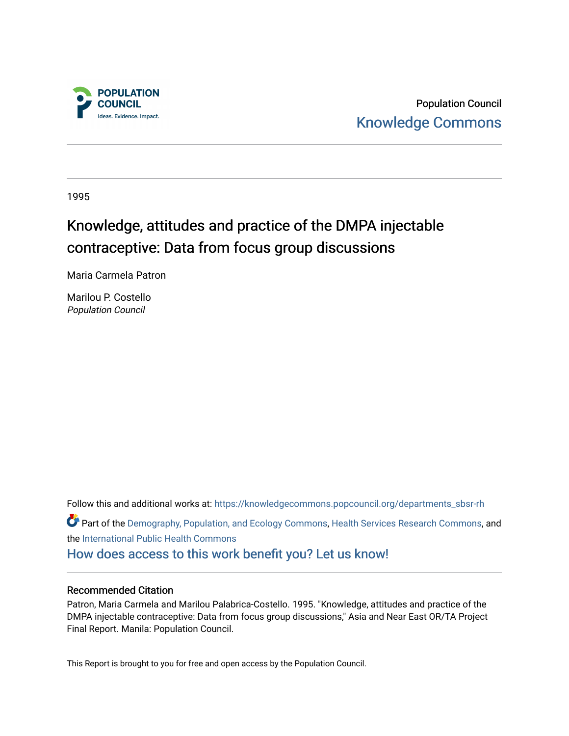

Population Council [Knowledge Commons](https://knowledgecommons.popcouncil.org/) 

1995

# Knowledge, attitudes and practice of the DMPA injectable contraceptive: Data from focus group discussions

Maria Carmela Patron

Marilou P. Costello Population Council

Follow this and additional works at: [https://knowledgecommons.popcouncil.org/departments\\_sbsr-rh](https://knowledgecommons.popcouncil.org/departments_sbsr-rh?utm_source=knowledgecommons.popcouncil.org%2Fdepartments_sbsr-rh%2F2100&utm_medium=PDF&utm_campaign=PDFCoverPages)  Part of the [Demography, Population, and Ecology Commons,](https://network.bepress.com/hgg/discipline/418?utm_source=knowledgecommons.popcouncil.org%2Fdepartments_sbsr-rh%2F2100&utm_medium=PDF&utm_campaign=PDFCoverPages) [Health Services Research Commons,](https://network.bepress.com/hgg/discipline/816?utm_source=knowledgecommons.popcouncil.org%2Fdepartments_sbsr-rh%2F2100&utm_medium=PDF&utm_campaign=PDFCoverPages) and the [International Public Health Commons](https://network.bepress.com/hgg/discipline/746?utm_source=knowledgecommons.popcouncil.org%2Fdepartments_sbsr-rh%2F2100&utm_medium=PDF&utm_campaign=PDFCoverPages)  [How does access to this work benefit you? Let us know!](https://pcouncil.wufoo.com/forms/open-access-to-population-council-research/)

## Recommended Citation

Patron, Maria Carmela and Marilou Palabrica-Costello. 1995. "Knowledge, attitudes and practice of the DMPA injectable contraceptive: Data from focus group discussions," Asia and Near East OR/TA Project Final Report. Manila: Population Council.

This Report is brought to you for free and open access by the Population Council.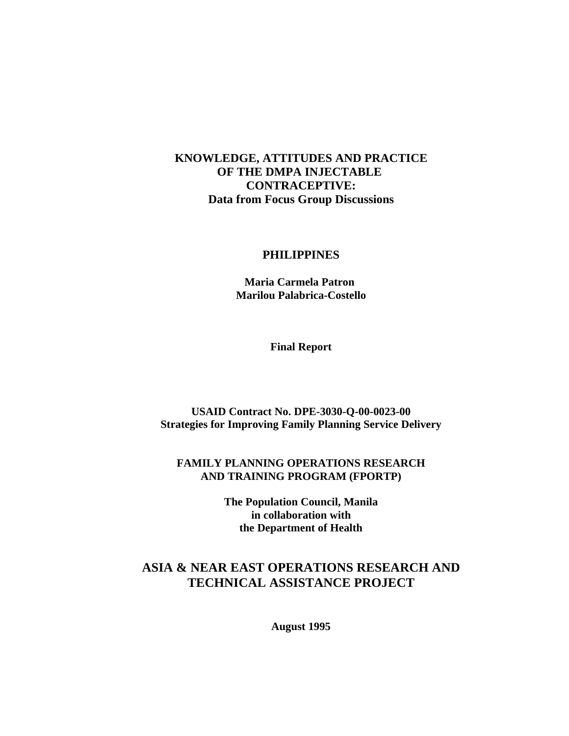## **KNOWLEDGE, ATTITUDES AND PRACTICE OF THE DMPA INJECTABLE CONTRACEPTIVE: Data from Focus Group Discussions**

#### **PHILIPPINES**

 **Maria Carmela Patron Marilou Palabrica-Costello**

**Final Report**

**USAID Contract No. DPE-3030-Q-00-0023-00 Strategies for Improving Family Planning Service Delivery**

## **FAMILY PLANNING OPERATIONS RESEARCH AND TRAINING PROGRAM (FPORTP)**

**The Population Council, Manila in collaboration with the Department of Health**

## **ASIA & NEAR EAST OPERATIONS RESEARCH AND TECHNICAL ASSISTANCE PROJECT**

**August 1995**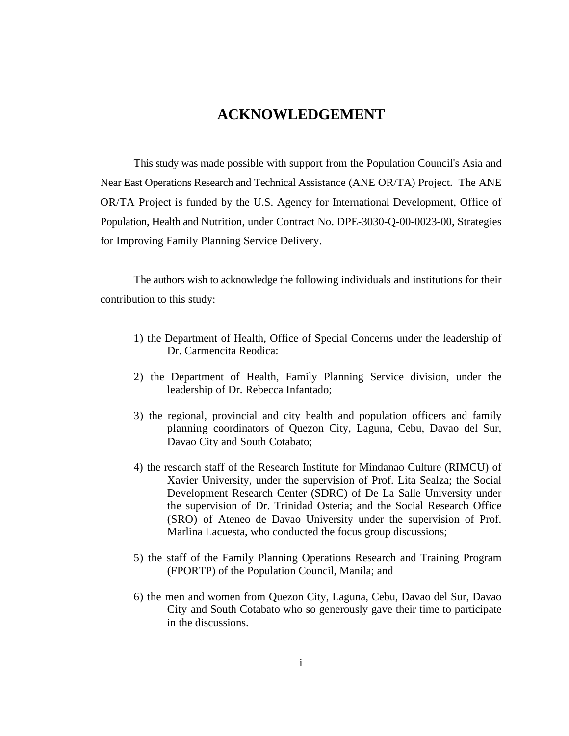## **ACKNOWLEDGEMENT**

This study was made possible with support from the Population Council's Asia and Near East Operations Research and Technical Assistance (ANE OR/TA) Project. The ANE OR/TA Project is funded by the U.S. Agency for International Development, Office of Population, Health and Nutrition, under Contract No. DPE-3030-Q-00-0023-00, Strategies for Improving Family Planning Service Delivery.

The authors wish to acknowledge the following individuals and institutions for their contribution to this study:

- 1) the Department of Health, Office of Special Concerns under the leadership of Dr. Carmencita Reodica:
- 2) the Department of Health, Family Planning Service division, under the leadership of Dr. Rebecca Infantado;
- 3) the regional, provincial and city health and population officers and family planning coordinators of Quezon City, Laguna, Cebu, Davao del Sur, Davao City and South Cotabato;
- 4) the research staff of the Research Institute for Mindanao Culture (RIMCU) of Xavier University, under the supervision of Prof. Lita Sealza; the Social Development Research Center (SDRC) of De La Salle University under the supervision of Dr. Trinidad Osteria; and the Social Research Office (SRO) of Ateneo de Davao University under the supervision of Prof. Marlina Lacuesta, who conducted the focus group discussions;
- 5) the staff of the Family Planning Operations Research and Training Program (FPORTP) of the Population Council, Manila; and
- 6) the men and women from Quezon City, Laguna, Cebu, Davao del Sur, Davao City and South Cotabato who so generously gave their time to participate in the discussions.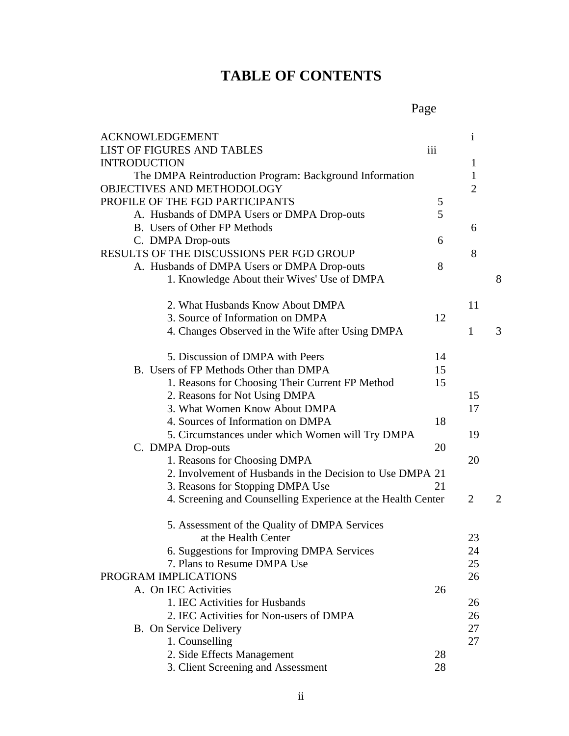# **TABLE OF CONTENTS**

Page

| <b>ACKNOWLEDGEMENT</b>                                       |     | $\mathbf{i}$   |   |
|--------------------------------------------------------------|-----|----------------|---|
| <b>LIST OF FIGURES AND TABLES</b>                            | iii |                |   |
| <b>INTRODUCTION</b>                                          |     | $\mathbf{1}$   |   |
| The DMPA Reintroduction Program: Background Information      |     | $\mathbf{1}$   |   |
| OBJECTIVES AND METHODOLOGY                                   |     | $\overline{2}$ |   |
| PROFILE OF THE FGD PARTICIPANTS                              | 5   |                |   |
| A. Husbands of DMPA Users or DMPA Drop-outs                  | 5   |                |   |
| B. Users of Other FP Methods                                 |     | 6              |   |
| C. DMPA Drop-outs                                            | 6   |                |   |
| <b>RESULTS OF THE DISCUSSIONS PER FGD GROUP</b>              |     | 8              |   |
| A. Husbands of DMPA Users or DMPA Drop-outs                  | 8   |                |   |
| 1. Knowledge About their Wives' Use of DMPA                  |     |                | 8 |
| 2. What Husbands Know About DMPA                             |     | 11             |   |
| 3. Source of Information on DMPA                             | 12  |                |   |
| 4. Changes Observed in the Wife after Using DMPA             |     | $\mathbf{1}$   | 3 |
| 5. Discussion of DMPA with Peers                             | 14  |                |   |
| B. Users of FP Methods Other than DMPA                       | 15  |                |   |
| 1. Reasons for Choosing Their Current FP Method              | 15  |                |   |
| 2. Reasons for Not Using DMPA                                |     | 15             |   |
| 3. What Women Know About DMPA                                |     | 17             |   |
| 4. Sources of Information on DMPA                            | 18  |                |   |
| 5. Circumstances under which Women will Try DMPA             |     | 19             |   |
| C. DMPA Drop-outs                                            | 20  |                |   |
| 1. Reasons for Choosing DMPA                                 |     | 20             |   |
| 2. Involvement of Husbands in the Decision to Use DMPA 21    |     |                |   |
| 3. Reasons for Stopping DMPA Use                             | 21  |                |   |
| 4. Screening and Counselling Experience at the Health Center |     | 2              | 2 |
| 5. Assessment of the Quality of DMPA Services                |     |                |   |
| at the Health Center                                         |     | 23             |   |
| 6. Suggestions for Improving DMPA Services                   |     | 24             |   |
| 7. Plans to Resume DMPA Use                                  |     | 25             |   |
| PROGRAM IMPLICATIONS                                         |     | 26             |   |
| A. On IEC Activities                                         | 26  |                |   |
| 1. IEC Activities for Husbands                               |     | 26             |   |
| 2. IEC Activities for Non-users of DMPA                      |     | 26             |   |
| B. On Service Delivery                                       |     | 27             |   |
| 1. Counselling                                               |     | 27             |   |
| 2. Side Effects Management                                   | 28  |                |   |
| 3. Client Screening and Assessment                           | 28  |                |   |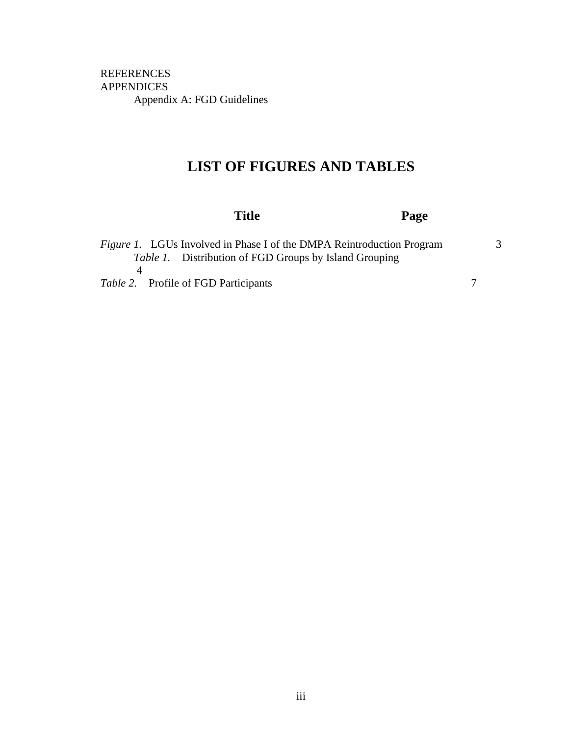REFERENCES APPENDICES Appendix A: FGD Guidelines

## **LIST OF FIGURES AND TABLES**

| Title                                                                                     |                                                               | Page |   |
|-------------------------------------------------------------------------------------------|---------------------------------------------------------------|------|---|
| <i>Figure 1.</i> LGUs Involved in Phase I of the DMPA Reintroduction Program<br>$\Lambda$ | <i>Table 1.</i> Distribution of FGD Groups by Island Grouping |      | 3 |
| <i>Table 2.</i> Profile of FGD Participants                                               |                                                               |      |   |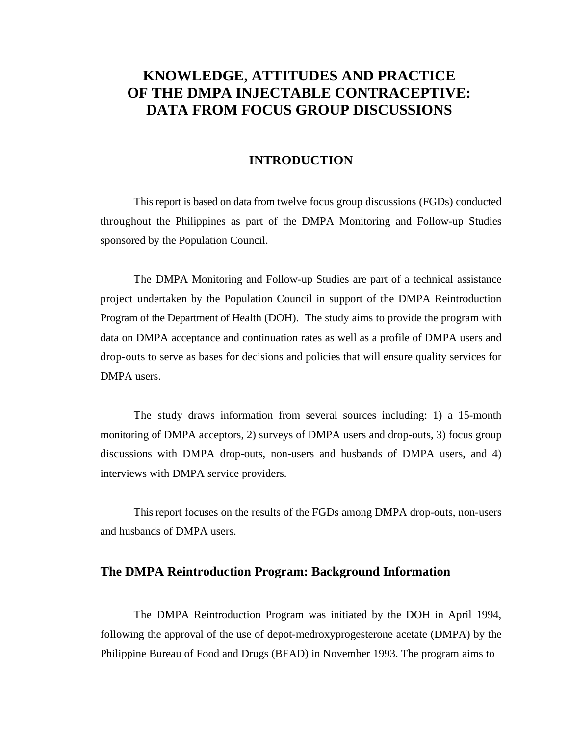## **KNOWLEDGE, ATTITUDES AND PRACTICE OF THE DMPA INJECTABLE CONTRACEPTIVE: DATA FROM FOCUS GROUP DISCUSSIONS**

## **INTRODUCTION**

This report is based on data from twelve focus group discussions (FGDs) conducted throughout the Philippines as part of the DMPA Monitoring and Follow-up Studies sponsored by the Population Council.

The DMPA Monitoring and Follow-up Studies are part of a technical assistance project undertaken by the Population Council in support of the DMPA Reintroduction Program of the Department of Health (DOH). The study aims to provide the program with data on DMPA acceptance and continuation rates as well as a profile of DMPA users and drop-outs to serve as bases for decisions and policies that will ensure quality services for DMPA users.

The study draws information from several sources including: 1) a 15-month monitoring of DMPA acceptors, 2) surveys of DMPA users and drop-outs, 3) focus group discussions with DMPA drop-outs, non-users and husbands of DMPA users, and 4) interviews with DMPA service providers.

This report focuses on the results of the FGDs among DMPA drop-outs, non-users and husbands of DMPA users.

## **The DMPA Reintroduction Program: Background Information**

The DMPA Reintroduction Program was initiated by the DOH in April 1994, following the approval of the use of depot-medroxyprogesterone acetate (DMPA) by the Philippine Bureau of Food and Drugs (BFAD) in November 1993. The program aims to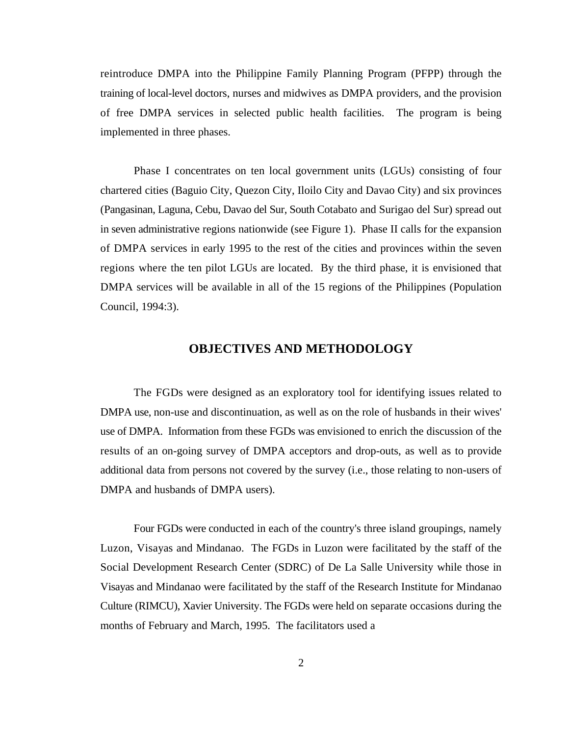reintroduce DMPA into the Philippine Family Planning Program (PFPP) through the training of local-level doctors, nurses and midwives as DMPA providers, and the provision of free DMPA services in selected public health facilities. The program is being implemented in three phases.

Phase I concentrates on ten local government units (LGUs) consisting of four chartered cities (Baguio City, Quezon City, Iloilo City and Davao City) and six provinces (Pangasinan, Laguna, Cebu, Davao del Sur, South Cotabato and Surigao del Sur) spread out in seven administrative regions nationwide (see Figure 1). Phase II calls for the expansion of DMPA services in early 1995 to the rest of the cities and provinces within the seven regions where the ten pilot LGUs are located. By the third phase, it is envisioned that DMPA services will be available in all of the 15 regions of the Philippines (Population Council, 1994:3).

## **OBJECTIVES AND METHODOLOGY**

The FGDs were designed as an exploratory tool for identifying issues related to DMPA use, non-use and discontinuation, as well as on the role of husbands in their wives' use of DMPA. Information from these FGDs was envisioned to enrich the discussion of the results of an on-going survey of DMPA acceptors and drop-outs, as well as to provide additional data from persons not covered by the survey (i.e., those relating to non-users of DMPA and husbands of DMPA users).

Four FGDs were conducted in each of the country's three island groupings, namely Luzon, Visayas and Mindanao. The FGDs in Luzon were facilitated by the staff of the Social Development Research Center (SDRC) of De La Salle University while those in Visayas and Mindanao were facilitated by the staff of the Research Institute for Mindanao Culture (RIMCU), Xavier University. The FGDs were held on separate occasions during the months of February and March, 1995. The facilitators used a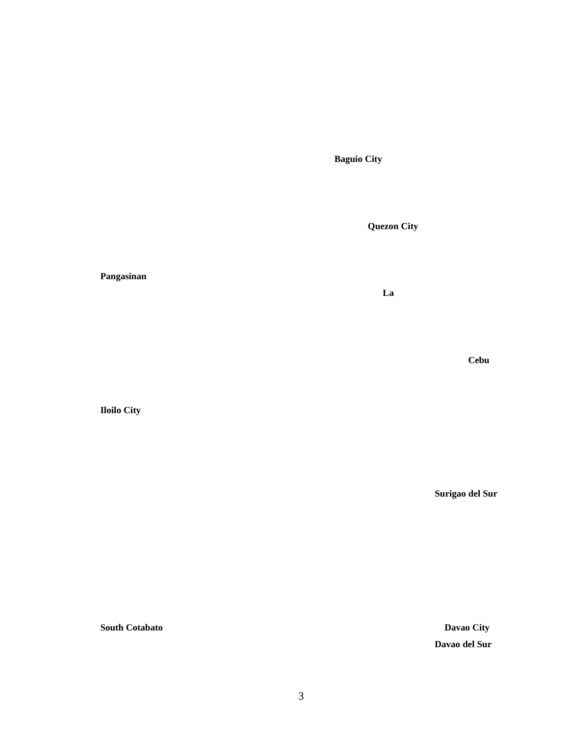**Baguio City**

**Quezon City**

 **La** 

#### **Pangasinan**

 *Cebu* 

**Iloilo City** 

**Surigao del Sur**

**South Cotabato Davao City Davao del Sur**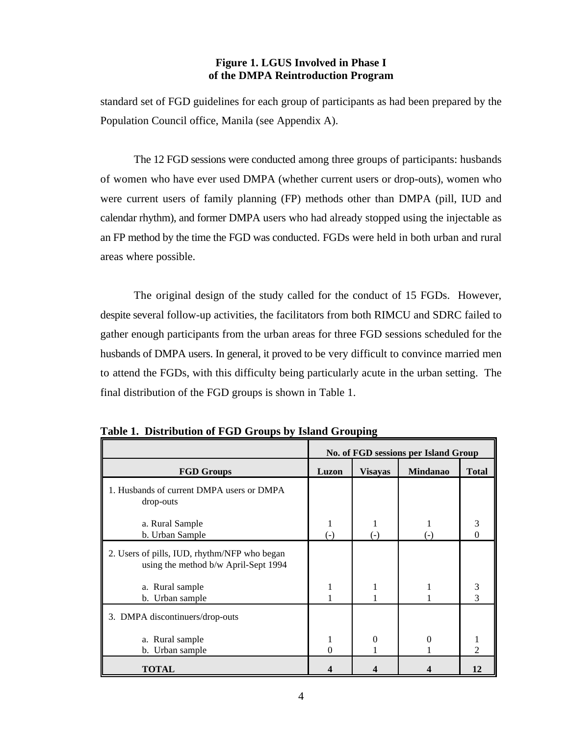## **Figure 1. LGUS Involved in Phase I of the DMPA Reintroduction Program**

standard set of FGD guidelines for each group of participants as had been prepared by the Population Council office, Manila (see Appendix A).

The 12 FGD sessions were conducted among three groups of participants: husbands of women who have ever used DMPA (whether current users or drop-outs), women who were current users of family planning (FP) methods other than DMPA (pill, IUD and calendar rhythm), and former DMPA users who had already stopped using the injectable as an FP method by the time the FGD was conducted. FGDs were held in both urban and rural areas where possible.

The original design of the study called for the conduct of 15 FGDs. However, despite several follow-up activities, the facilitators from both RIMCU and SDRC failed to gather enough participants from the urban areas for three FGD sessions scheduled for the husbands of DMPA users. In general, it proved to be very difficult to convince married men to attend the FGDs, with this difficulty being particularly acute in the urban setting. The final distribution of the FGD groups is shown in Table 1.

|                                                                                      | No. of FGD sessions per Island Group |                |                 |                             |  |  |  |
|--------------------------------------------------------------------------------------|--------------------------------------|----------------|-----------------|-----------------------------|--|--|--|
| <b>FGD Groups</b>                                                                    | Luzon                                | <b>Visayas</b> | <b>Mindanao</b> | <b>Total</b>                |  |  |  |
| 1. Husbands of current DMPA users or DMPA<br>drop-outs                               |                                      |                |                 |                             |  |  |  |
| a. Rural Sample<br>b. Urban Sample                                                   | (-)                                  | $(-)$          | $(-)$           | 3<br>0                      |  |  |  |
| 2. Users of pills, IUD, rhythm/NFP who began<br>using the method b/w April-Sept 1994 |                                      |                |                 |                             |  |  |  |
| a. Rural sample<br>b. Urban sample                                                   |                                      |                |                 | 3<br>3                      |  |  |  |
| 3. DMPA discontinuers/drop-outs                                                      |                                      |                |                 |                             |  |  |  |
| a. Rural sample<br>b. Urban sample                                                   | 1<br>$\mathcal{O}$                   | 0              | 0               | $\mathcal{D}_{\mathcal{A}}$ |  |  |  |
| TOTAL                                                                                |                                      |                |                 | 12                          |  |  |  |

**Table 1. Distribution of FGD Groups by Island Grouping**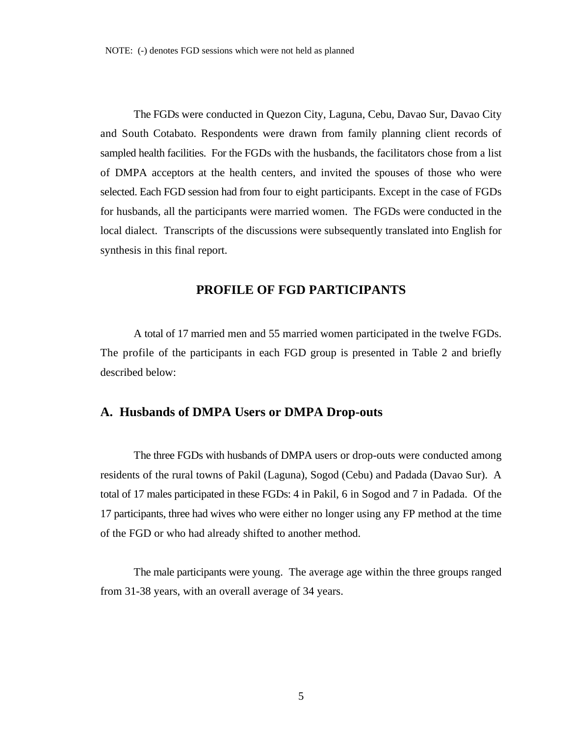The FGDs were conducted in Quezon City, Laguna, Cebu, Davao Sur, Davao City and South Cotabato. Respondents were drawn from family planning client records of sampled health facilities. For the FGDs with the husbands, the facilitators chose from a list of DMPA acceptors at the health centers, and invited the spouses of those who were selected. Each FGD session had from four to eight participants. Except in the case of FGDs for husbands, all the participants were married women. The FGDs were conducted in the local dialect. Transcripts of the discussions were subsequently translated into English for synthesis in this final report.

## **PROFILE OF FGD PARTICIPANTS**

A total of 17 married men and 55 married women participated in the twelve FGDs. The profile of the participants in each FGD group is presented in Table 2 and briefly described below:

#### **A. Husbands of DMPA Users or DMPA Drop-outs**

The three FGDs with husbands of DMPA users or drop-outs were conducted among residents of the rural towns of Pakil (Laguna), Sogod (Cebu) and Padada (Davao Sur). A total of 17 males participated in these FGDs: 4 in Pakil, 6 in Sogod and 7 in Padada. Of the 17 participants, three had wives who were either no longer using any FP method at the time of the FGD or who had already shifted to another method.

The male participants were young. The average age within the three groups ranged from 31-38 years, with an overall average of 34 years.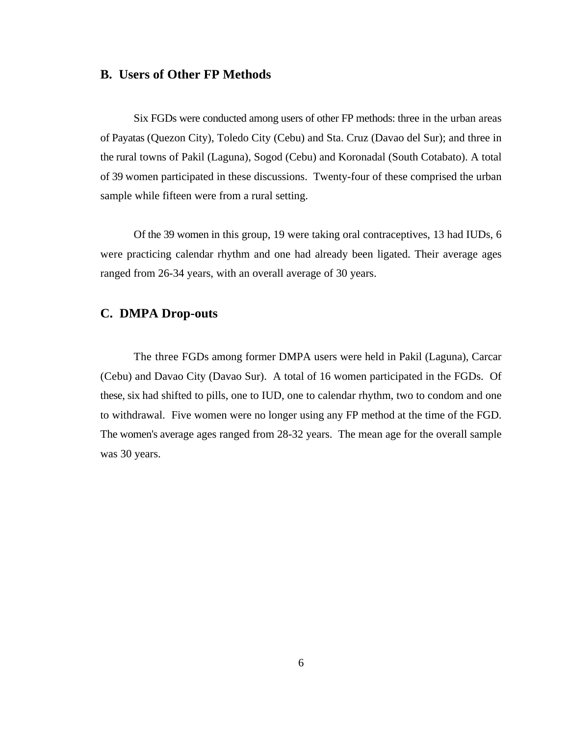#### **B. Users of Other FP Methods**

Six FGDs were conducted among users of other FP methods: three in the urban areas of Payatas (Quezon City), Toledo City (Cebu) and Sta. Cruz (Davao del Sur); and three in the rural towns of Pakil (Laguna), Sogod (Cebu) and Koronadal (South Cotabato). A total of 39 women participated in these discussions. Twenty-four of these comprised the urban sample while fifteen were from a rural setting.

Of the 39 women in this group, 19 were taking oral contraceptives, 13 had IUDs, 6 were practicing calendar rhythm and one had already been ligated. Their average ages ranged from 26-34 years, with an overall average of 30 years.

## **C. DMPA Drop-outs**

The three FGDs among former DMPA users were held in Pakil (Laguna), Carcar (Cebu) and Davao City (Davao Sur). A total of 16 women participated in the FGDs. Of these, six had shifted to pills, one to IUD, one to calendar rhythm, two to condom and one to withdrawal. Five women were no longer using any FP method at the time of the FGD. The women's average ages ranged from 28-32 years. The mean age for the overall sample was 30 years.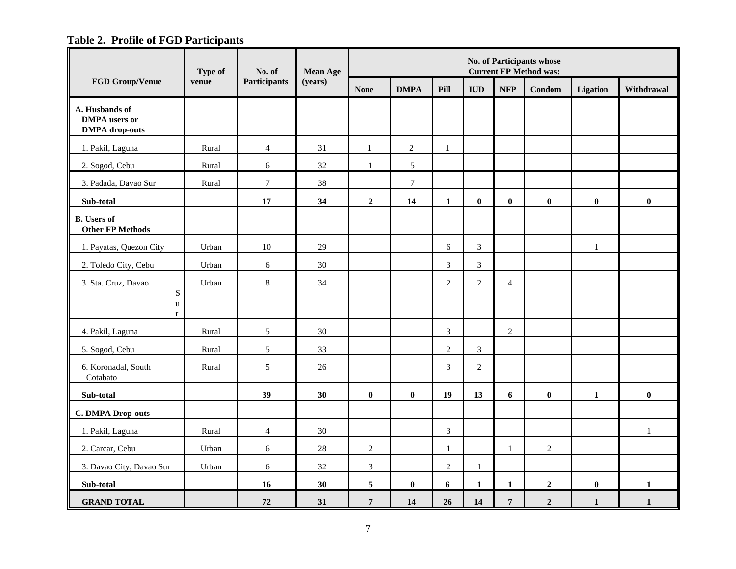## **Table 2. Profile of FGD Participants**

|                                                                 | Type of<br>No. of |                  | <b>Mean Age</b> | No. of Participants whose<br><b>Current FP Method was:</b> |                  |                |                |                  |                |              |              |
|-----------------------------------------------------------------|-------------------|------------------|-----------------|------------------------------------------------------------|------------------|----------------|----------------|------------------|----------------|--------------|--------------|
| <b>FGD Group/Venue</b>                                          | venue             | Participants     | (years)         | <b>None</b>                                                | <b>DMPA</b>      | Pill           | <b>IUD</b>     | <b>NFP</b>       | Condom         | Ligation     | Withdrawal   |
| A. Husbands of<br><b>DMPA</b> users or<br><b>DMPA</b> drop-outs |                   |                  |                 |                                                            |                  |                |                |                  |                |              |              |
| 1. Pakil, Laguna                                                | Rural             | $\overline{4}$   | 31              | $\mathbf{1}$                                               | $\overline{2}$   | $\mathbf{1}$   |                |                  |                |              |              |
| 2. Sogod, Cebu                                                  | Rural             | 6                | 32              | $\mathbf{1}$                                               | 5                |                |                |                  |                |              |              |
| 3. Padada, Davao Sur                                            | Rural             | $\boldsymbol{7}$ | 38              |                                                            | $\boldsymbol{7}$ |                |                |                  |                |              |              |
| Sub-total                                                       |                   | 17               | 34              | $\overline{2}$                                             | 14               | $\mathbf{1}$   | $\bf{0}$       | $\bf{0}$         | $\bf{0}$       | $\bf{0}$     | $\bf{0}$     |
| <b>B.</b> Users of<br><b>Other FP Methods</b>                   |                   |                  |                 |                                                            |                  |                |                |                  |                |              |              |
| 1. Payatas, Quezon City                                         | Urban             | 10               | 29              |                                                            |                  | 6              | $\mathfrak{Z}$ |                  |                | $\mathbf{1}$ |              |
| 2. Toledo City, Cebu                                            | Urban             | $6\,$            | 30              |                                                            |                  | 3              | $\mathfrak{Z}$ |                  |                |              |              |
| 3. Sta. Cruz, Davao<br>${\bf S}$                                | Urban             | $\,8\,$          | 34              |                                                            |                  | $\overline{2}$ | $\overline{2}$ | $\overline{4}$   |                |              |              |
| $\mathbf u$<br>$\mathbf{r}$                                     |                   |                  |                 |                                                            |                  |                |                |                  |                |              |              |
| 4. Pakil, Laguna                                                | Rural             | $\sqrt{5}$       | 30              |                                                            |                  | $\overline{3}$ |                | $\overline{2}$   |                |              |              |
| 5. Sogod, Cebu                                                  | Rural             | 5                | 33              |                                                            |                  | $\overline{2}$ | $\overline{3}$ |                  |                |              |              |
| 6. Koronadal, South<br>Cotabato                                 | Rural             | $\sqrt{5}$       | 26              |                                                            |                  | $\mathfrak{Z}$ | $\overline{2}$ |                  |                |              |              |
| Sub-total                                                       |                   | 39               | 30              | $\bf{0}$                                                   | $\bf{0}$         | 19             | 13             | 6                | $\bf{0}$       | $\mathbf{1}$ | $\bf{0}$     |
| <b>C. DMPA Drop-outs</b>                                        |                   |                  |                 |                                                            |                  |                |                |                  |                |              |              |
| 1. Pakil, Laguna                                                | Rural             | $\overline{4}$   | 30              |                                                            |                  | $\overline{3}$ |                |                  |                |              | $\mathbf{1}$ |
| 2. Carcar, Cebu                                                 | Urban             | 6                | $28\,$          | $\sqrt{2}$                                                 |                  | $\mathbf{1}$   |                | $\mathbf{1}$     | $\sqrt{2}$     |              |              |
| 3. Davao City, Davao Sur                                        | Urban             | 6                | 32              | 3                                                          |                  | $\overline{2}$ | $\mathbf{1}$   |                  |                |              |              |
| Sub-total                                                       |                   | 16               | 30              | 5                                                          | $\bf{0}$         | 6              | $\mathbf{1}$   | $\mathbf{1}$     | $\overline{2}$ | $\bf{0}$     | $\mathbf{1}$ |
| <b>GRAND TOTAL</b>                                              |                   | 72               | 31              | $\overline{7}$                                             | 14               | 26             | 14             | $\boldsymbol{7}$ | $\overline{2}$ | $\mathbf 1$  | $\mathbf{1}$ |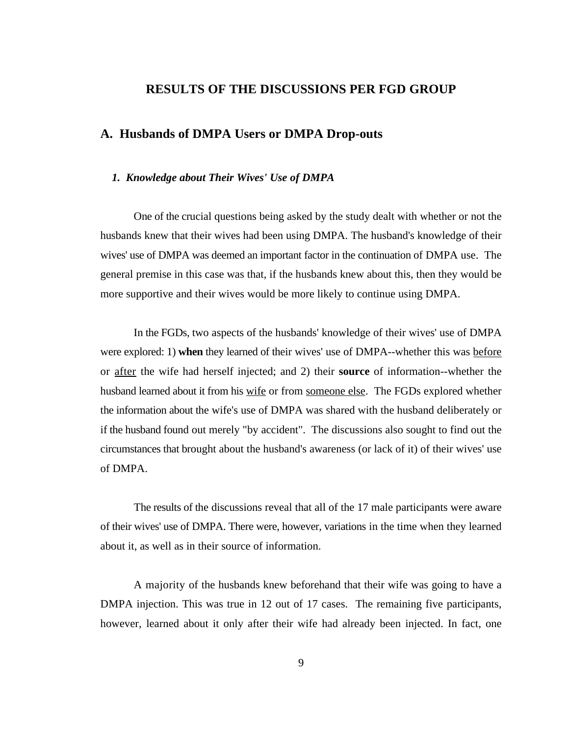## **RESULTS OF THE DISCUSSIONS PER FGD GROUP**

## **A. Husbands of DMPA Users or DMPA Drop-outs**

#### *1. Knowledge about Their Wives' Use of DMPA*

One of the crucial questions being asked by the study dealt with whether or not the husbands knew that their wives had been using DMPA. The husband's knowledge of their wives' use of DMPA was deemed an important factor in the continuation of DMPA use. The general premise in this case was that, if the husbands knew about this, then they would be more supportive and their wives would be more likely to continue using DMPA.

In the FGDs, two aspects of the husbands' knowledge of their wives' use of DMPA were explored: 1) **when** they learned of their wives' use of DMPA--whether this was before or after the wife had herself injected; and 2) their **source** of information--whether the husband learned about it from his wife or from someone else. The FGDs explored whether the information about the wife's use of DMPA was shared with the husband deliberately or if the husband found out merely "by accident". The discussions also sought to find out the circumstances that brought about the husband's awareness (or lack of it) of their wives' use of DMPA.

The results of the discussions reveal that all of the 17 male participants were aware of their wives' use of DMPA. There were, however, variations in the time when they learned about it, as well as in their source of information.

A majority of the husbands knew beforehand that their wife was going to have a DMPA injection. This was true in 12 out of 17 cases. The remaining five participants, however, learned about it only after their wife had already been injected. In fact, one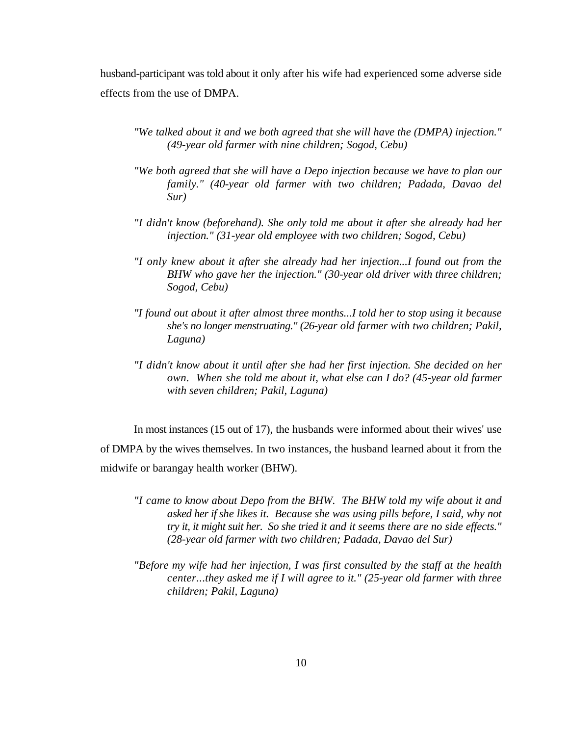husband-participant was told about it only after his wife had experienced some adverse side effects from the use of DMPA.

- *"We talked about it and we both agreed that she will have the (DMPA) injection." (49-year old farmer with nine children; Sogod, Cebu)*
- *"We both agreed that she will have a Depo injection because we have to plan our family." (40-year old farmer with two children; Padada, Davao del Sur)*
- *"I didn't know (beforehand). She only told me about it after she already had her injection." (31-year old employee with two children; Sogod, Cebu)*
- *"I only knew about it after she already had her injection...I found out from the BHW who gave her the injection." (30-year old driver with three children; Sogod, Cebu)*
- *"I found out about it after almost three months...I told her to stop using it because she's no longer menstruating." (26-year old farmer with two children; Pakil, Laguna)*
- *"I didn't know about it until after she had her first injection. She decided on her own. When she told me about it, what else can I do? (45-year old farmer with seven children; Pakil, Laguna)*

In most instances (15 out of 17), the husbands were informed about their wives' use of DMPA by the wives themselves. In two instances, the husband learned about it from the midwife or barangay health worker (BHW).

- *"I came to know about Depo from the BHW. The BHW told my wife about it and asked her if she likes it. Because she was using pills before, I said, why not try it, it might suit her. So she tried it and it seems there are no side effects." (28-year old farmer with two children; Padada, Davao del Sur)*
- *"Before my wife had her injection, I was first consulted by the staff at the health center...they asked me if I will agree to it." (25-year old farmer with three children; Pakil, Laguna)*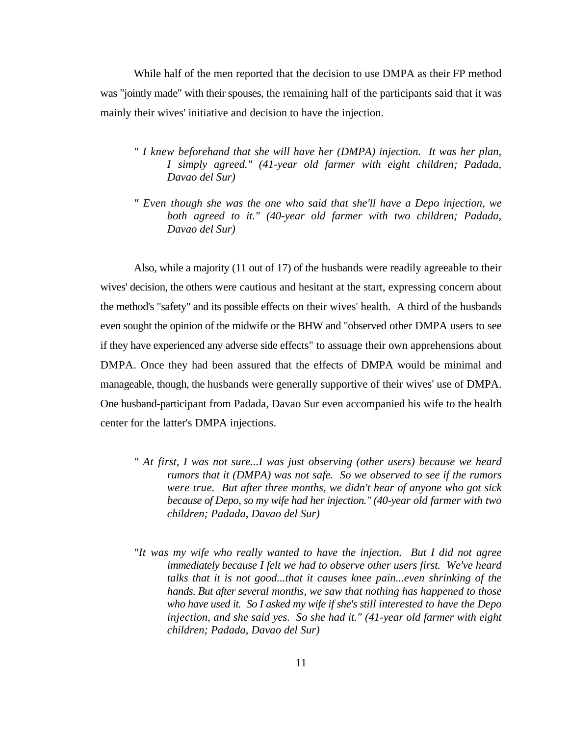While half of the men reported that the decision to use DMPA as their FP method was "jointly made" with their spouses, the remaining half of the participants said that it was mainly their wives' initiative and decision to have the injection.

- *" I knew beforehand that she will have her (DMPA) injection. It was her plan, I simply agreed." (41-year old farmer with eight children; Padada, Davao del Sur)*
- *" Even though she was the one who said that she'll have a Depo injection, we both agreed to it." (40-year old farmer with two children; Padada, Davao del Sur)*

Also, while a majority (11 out of 17) of the husbands were readily agreeable to their wives' decision, the others were cautious and hesitant at the start, expressing concern about the method's "safety" and its possible effects on their wives' health. A third of the husbands even sought the opinion of the midwife or the BHW and "observed other DMPA users to see if they have experienced any adverse side effects" to assuage their own apprehensions about DMPA. Once they had been assured that the effects of DMPA would be minimal and manageable, though, the husbands were generally supportive of their wives' use of DMPA. One husband-participant from Padada, Davao Sur even accompanied his wife to the health center for the latter's DMPA injections.

- *" At first, I was not sure...I was just observing (other users) because we heard rumors that it (DMPA) was not safe. So we observed to see if the rumors were true. But after three months, we didn't hear of anyone who got sick because of Depo, so my wife had her injection." (40-year old farmer with two children; Padada, Davao del Sur)*
- *"It was my wife who really wanted to have the injection. But I did not agree immediately because I felt we had to observe other users first. We've heard talks that it is not good...that it causes knee pain...even shrinking of the hands. But after several months, we saw that nothing has happened to those who have used it. So I asked my wife if she's still interested to have the Depo injection, and she said yes. So she had it." (41-year old farmer with eight children; Padada, Davao del Sur)*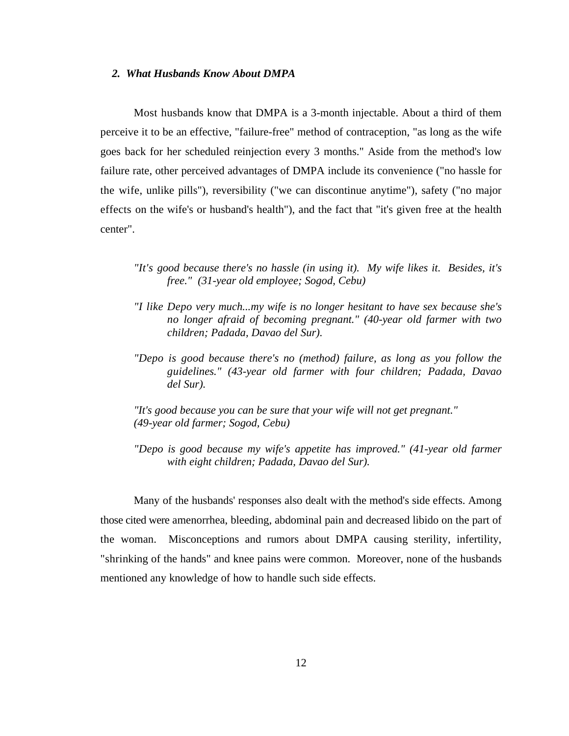#### *2. What Husbands Know About DMPA*

Most husbands know that DMPA is a 3-month injectable. About a third of them perceive it to be an effective, "failure-free" method of contraception, "as long as the wife goes back for her scheduled reinjection every 3 months." Aside from the method's low failure rate, other perceived advantages of DMPA include its convenience ("no hassle for the wife, unlike pills"), reversibility ("we can discontinue anytime"), safety ("no major effects on the wife's or husband's health"), and the fact that "it's given free at the health center".

- *"It's good because there's no hassle (in using it). My wife likes it. Besides, it's free." (31-year old employee; Sogod, Cebu)*
- *"I like Depo very much...my wife is no longer hesitant to have sex because she's no longer afraid of becoming pregnant." (40-year old farmer with two children; Padada, Davao del Sur).*
- *"Depo is good because there's no (method) failure, as long as you follow the guidelines." (43-year old farmer with four children; Padada, Davao del Sur).*

*"It's good because you can be sure that your wife will not get pregnant." (49-year old farmer; Sogod, Cebu)*

*"Depo is good because my wife's appetite has improved." (41-year old farmer with eight children; Padada, Davao del Sur).*

Many of the husbands' responses also dealt with the method's side effects. Among those cited were amenorrhea, bleeding, abdominal pain and decreased libido on the part of the woman. Misconceptions and rumors about DMPA causing sterility, infertility, "shrinking of the hands" and knee pains were common. Moreover, none of the husbands mentioned any knowledge of how to handle such side effects.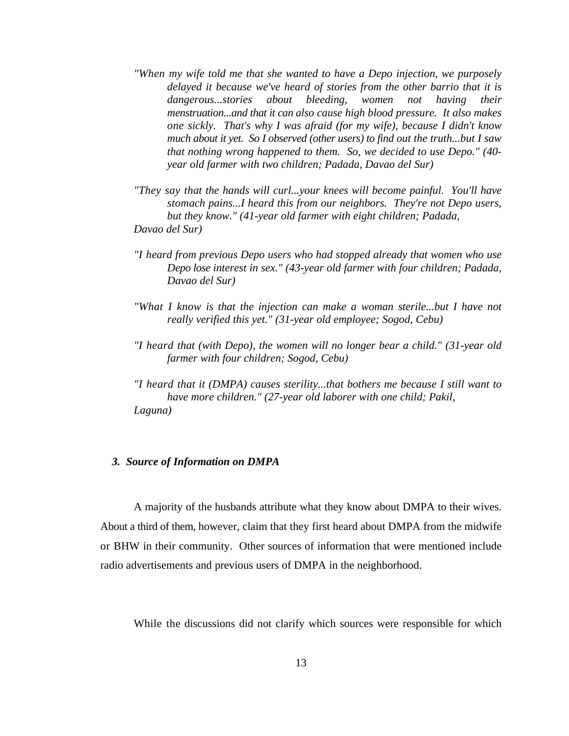- *"When my wife told me that she wanted to have a Depo injection, we purposely delayed it because we've heard of stories from the other barrio that it is dangerous...stories about bleeding, women not having their menstruation...and that it can also cause high blood pressure. It also makes one sickly. That's why I was afraid (for my wife), because I didn't know much about it yet. So I observed (other users) to find out the truth...but I saw that nothing wrong happened to them. So, we decided to use Depo." (40 year old farmer with two children; Padada, Davao del Sur)*
- *"They say that the hands will curl...your knees will become painful. You'll have stomach pains...I heard this from our neighbors. They're not Depo users, but they know." (41-year old farmer with eight children; Padada,*
- *Davao del Sur)*
- *"I heard from previous Depo users who had stopped already that women who use Depo lose interest in sex." (43-year old farmer with four children; Padada, Davao del Sur)*
- *"What I know is that the injection can make a woman sterile...but I have not really verified this yet." (31-year old employee; Sogod, Cebu)*
- *"I heard that (with Depo), the women will no longer bear a child." (31-year old farmer with four children; Sogod, Cebu)*
- *"I heard that it (DMPA) causes sterility...that bothers me because I still want to have more children." (27-year old laborer with one child; Pakil, Laguna)*

#### *3. Source of Information on DMPA*

A majority of the husbands attribute what they know about DMPA to their wives. About a third of them, however, claim that they first heard about DMPA from the midwife or BHW in their community. Other sources of information that were mentioned include radio advertisements and previous users of DMPA in the neighborhood.

While the discussions did not clarify which sources were responsible for which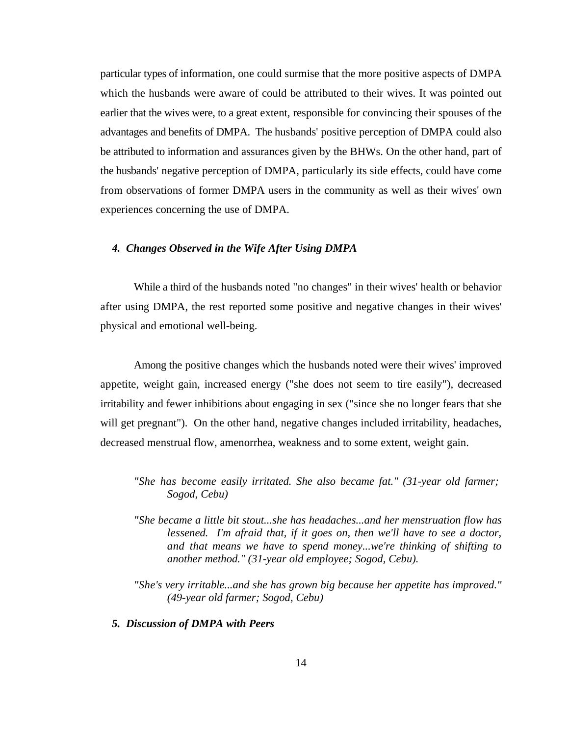particular types of information, one could surmise that the more positive aspects of DMPA which the husbands were aware of could be attributed to their wives. It was pointed out earlier that the wives were, to a great extent, responsible for convincing their spouses of the advantages and benefits of DMPA. The husbands' positive perception of DMPA could also be attributed to information and assurances given by the BHWs. On the other hand, part of the husbands' negative perception of DMPA, particularly its side effects, could have come from observations of former DMPA users in the community as well as their wives' own experiences concerning the use of DMPA.

#### *4. Changes Observed in the Wife After Using DMPA*

While a third of the husbands noted "no changes" in their wives' health or behavior after using DMPA, the rest reported some positive and negative changes in their wives' physical and emotional well-being.

Among the positive changes which the husbands noted were their wives' improved appetite, weight gain, increased energy ("she does not seem to tire easily"), decreased irritability and fewer inhibitions about engaging in sex ("since she no longer fears that she will get pregnant"). On the other hand, negative changes included irritability, headaches, decreased menstrual flow, amenorrhea, weakness and to some extent, weight gain.

- *"She has become easily irritated. She also became fat." (31-year old farmer; Sogod, Cebu)*
- *"She became a little bit stout...she has headaches...and her menstruation flow has lessened. I'm afraid that, if it goes on, then we'll have to see a doctor, and that means we have to spend money...we're thinking of shifting to another method." (31-year old employee; Sogod, Cebu).*
- *"She's very irritable...and she has grown big because her appetite has improved." (49-year old farmer; Sogod, Cebu)*

#### *5. Discussion of DMPA with Peers*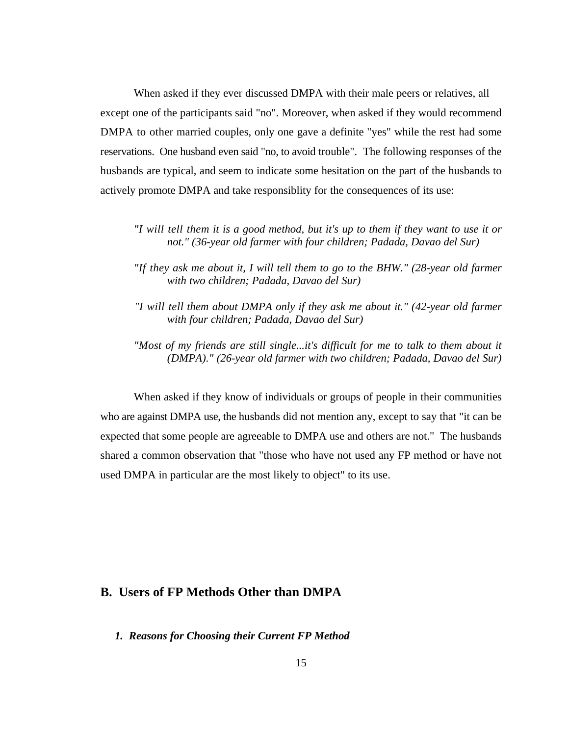When asked if they ever discussed DMPA with their male peers or relatives, all except one of the participants said "no". Moreover, when asked if they would recommend DMPA to other married couples, only one gave a definite "yes" while the rest had some reservations. One husband even said "no, to avoid trouble". The following responses of the husbands are typical, and seem to indicate some hesitation on the part of the husbands to actively promote DMPA and take responsiblity for the consequences of its use:

- *"I will tell them it is a good method, but it's up to them if they want to use it or not." (36-year old farmer with four children; Padada, Davao del Sur)*
- *"If they ask me about it, I will tell them to go to the BHW." (28-year old farmer with two children; Padada, Davao del Sur)*
- *"I will tell them about DMPA only if they ask me about it." (42-year old farmer with four children; Padada, Davao del Sur)*
- *"Most of my friends are still single...it's difficult for me to talk to them about it (DMPA)." (26-year old farmer with two children; Padada, Davao del Sur)*

When asked if they know of individuals or groups of people in their communities who are against DMPA use, the husbands did not mention any, except to say that "it can be expected that some people are agreeable to DMPA use and others are not." The husbands shared a common observation that "those who have not used any FP method or have not used DMPA in particular are the most likely to object" to its use.

## **B. Users of FP Methods Other than DMPA**

*1. Reasons for Choosing their Current FP Method*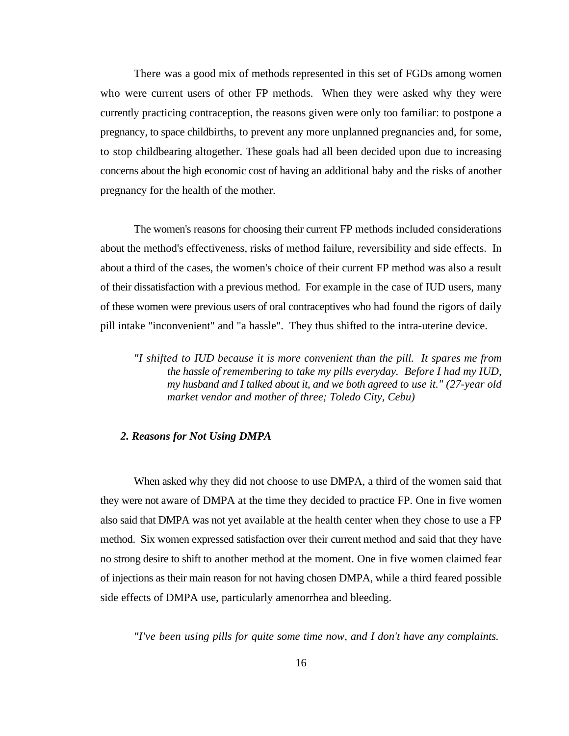There was a good mix of methods represented in this set of FGDs among women who were current users of other FP methods. When they were asked why they were currently practicing contraception, the reasons given were only too familiar: to postpone a pregnancy, to space childbirths, to prevent any more unplanned pregnancies and, for some, to stop childbearing altogether. These goals had all been decided upon due to increasing concerns about the high economic cost of having an additional baby and the risks of another pregnancy for the health of the mother.

The women's reasons for choosing their current FP methods included considerations about the method's effectiveness, risks of method failure, reversibility and side effects. In about a third of the cases, the women's choice of their current FP method was also a result of their dissatisfaction with a previous method. For example in the case of IUD users, many of these women were previous users of oral contraceptives who had found the rigors of daily pill intake "inconvenient" and "a hassle". They thus shifted to the intra-uterine device.

*"I shifted to IUD because it is more convenient than the pill. It spares me from the hassle of remembering to take my pills everyday. Before I had my IUD, my husband and I talked about it, and we both agreed to use it." (27-year old market vendor and mother of three; Toledo City, Cebu)*

#### *2. Reasons for Not Using DMPA*

When asked why they did not choose to use DMPA, a third of the women said that they were not aware of DMPA at the time they decided to practice FP. One in five women also said that DMPA was not yet available at the health center when they chose to use a FP method. Six women expressed satisfaction over their current method and said that they have no strong desire to shift to another method at the moment. One in five women claimed fear of injections as their main reason for not having chosen DMPA, while a third feared possible side effects of DMPA use, particularly amenorrhea and bleeding.

*"I've been using pills for quite some time now, and I don't have any complaints.*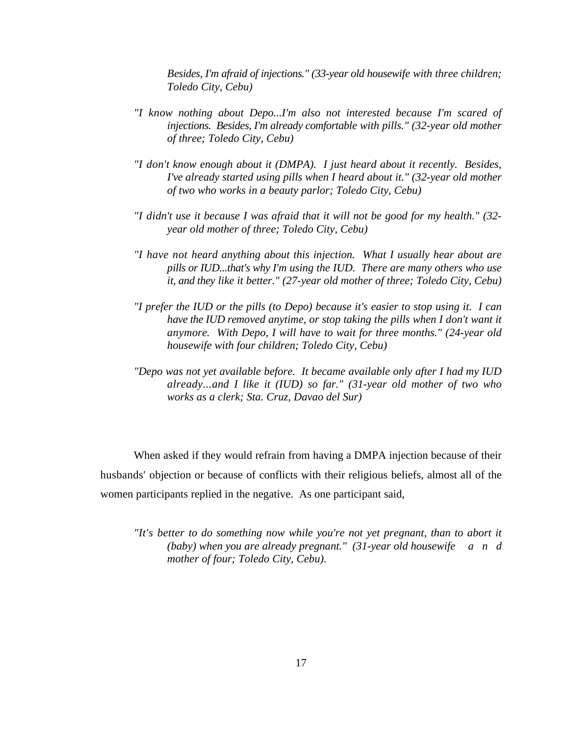*Besides, I'm afraid of injections." (33-year old housewife with three children; Toledo City, Cebu)*

- *"I know nothing about Depo...I'm also not interested because I'm scared of injections. Besides, I'm already comfortable with pills." (32-year old mother of three; Toledo City, Cebu)*
- *"I don't know enough about it (DMPA). I just heard about it recently. Besides, I've already started using pills when I heard about it." (32-year old mother of two who works in a beauty parlor; Toledo City, Cebu)*
- *"I didn't use it because I was afraid that it will not be good for my health." (32 year old mother of three; Toledo City, Cebu)*
- *"I have not heard anything about this injection. What I usually hear about are pills or IUD...that's why I'm using the IUD. There are many others who use it, and they like it better." (27-year old mother of three; Toledo City, Cebu)*
- *"I prefer the IUD or the pills (to Depo) because it's easier to stop using it. I can have the IUD removed anytime, or stop taking the pills when I don't want it anymore. With Depo, I will have to wait for three months." (24-year old housewife with four children; Toledo City, Cebu)*
- *"Depo was not yet available before. It became available only after I had my IUD already...and I like it (IUD) so far." (31-year old mother of two who works as a clerk; Sta. Cruz, Davao del Sur)*

When asked if they would refrain from having a DMPA injection because of their husbands' objection or because of conflicts with their religious beliefs, almost all of the women participants replied in the negative. As one participant said,

*"It's better to do something now while you're not yet pregnant, than to abort it (baby) when you are already pregnant." (31-year old housewife a n d mother of four; Toledo City, Cebu).*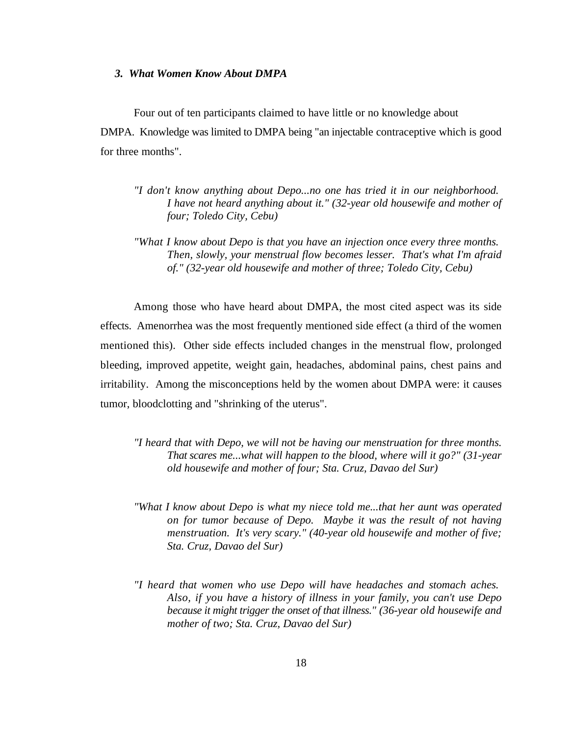#### *3. What Women Know About DMPA*

Four out of ten participants claimed to have little or no knowledge about DMPA. Knowledge was limited to DMPA being "an injectable contraceptive which is good for three months".

- *"I don't know anything about Depo...no one has tried it in our neighborhood. I have not heard anything about it." (32-year old housewife and mother of four; Toledo City, Cebu)*
- *"What I know about Depo is that you have an injection once every three months. Then, slowly, your menstrual flow becomes lesser. That's what I'm afraid of." (32-year old housewife and mother of three; Toledo City, Cebu)*

Among those who have heard about DMPA, the most cited aspect was its side effects. Amenorrhea was the most frequently mentioned side effect (a third of the women mentioned this). Other side effects included changes in the menstrual flow, prolonged bleeding, improved appetite, weight gain, headaches, abdominal pains, chest pains and irritability. Among the misconceptions held by the women about DMPA were: it causes tumor, bloodclotting and "shrinking of the uterus".

- *"I heard that with Depo, we will not be having our menstruation for three months. That scares me...what will happen to the blood, where will it go?" (31-year old housewife and mother of four; Sta. Cruz, Davao del Sur)*
- *"What I know about Depo is what my niece told me...that her aunt was operated on for tumor because of Depo. Maybe it was the result of not having menstruation. It's very scary." (40-year old housewife and mother of five; Sta. Cruz, Davao del Sur)*
- *"I heard that women who use Depo will have headaches and stomach aches. Also, if you have a history of illness in your family, you can't use Depo because it might trigger the onset of that illness." (36-year old housewife and mother of two; Sta. Cruz, Davao del Sur)*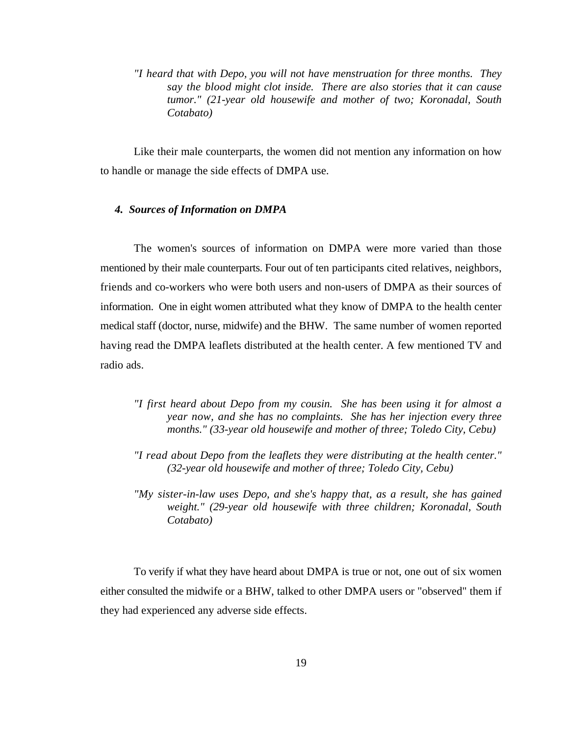*"I heard that with Depo, you will not have menstruation for three months. They say the blood might clot inside. There are also stories that it can cause tumor." (21-year old housewife and mother of two; Koronadal, South Cotabato)*

Like their male counterparts, the women did not mention any information on how to handle or manage the side effects of DMPA use.

#### *4. Sources of Information on DMPA*

The women's sources of information on DMPA were more varied than those mentioned by their male counterparts. Four out of ten participants cited relatives, neighbors, friends and co-workers who were both users and non-users of DMPA as their sources of information. One in eight women attributed what they know of DMPA to the health center medical staff (doctor, nurse, midwife) and the BHW. The same number of women reported having read the DMPA leaflets distributed at the health center. A few mentioned TV and radio ads.

- *"I first heard about Depo from my cousin. She has been using it for almost a year now, and she has no complaints. She has her injection every three months." (33-year old housewife and mother of three; Toledo City, Cebu)*
- *"I read about Depo from the leaflets they were distributing at the health center." (32-year old housewife and mother of three; Toledo City, Cebu)*
- *"My sister-in-law uses Depo, and she's happy that, as a result, she has gained weight." (29-year old housewife with three children; Koronadal, South Cotabato)*

To verify if what they have heard about DMPA is true or not, one out of six women either consulted the midwife or a BHW, talked to other DMPA users or "observed" them if they had experienced any adverse side effects.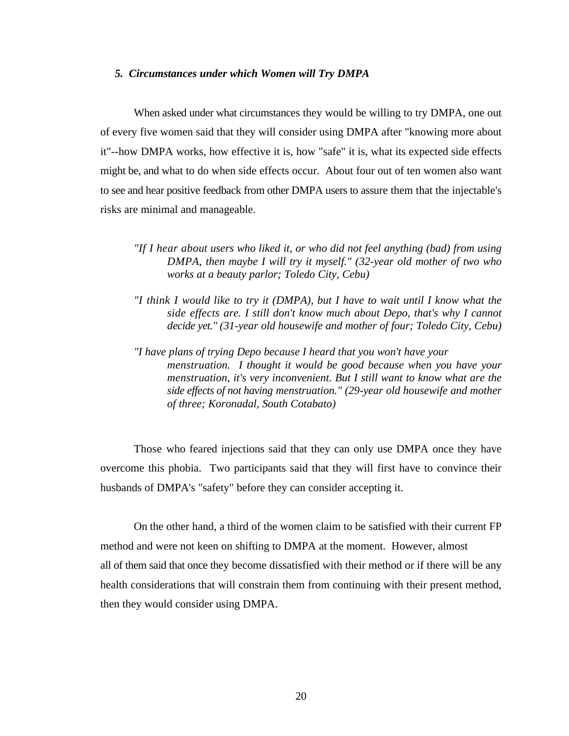#### *5. Circumstances under which Women will Try DMPA*

When asked under what circumstances they would be willing to try DMPA, one out of every five women said that they will consider using DMPA after "knowing more about it"--how DMPA works, how effective it is, how "safe" it is, what its expected side effects might be, and what to do when side effects occur. About four out of ten women also want to see and hear positive feedback from other DMPA users to assure them that the injectable's risks are minimal and manageable.

- *"If I hear about users who liked it, or who did not feel anything (bad) from using DMPA, then maybe I will try it myself." (32-year old mother of two who works at a beauty parlor; Toledo City, Cebu)*
- *"I think I would like to try it (DMPA), but I have to wait until I know what the side effects are. I still don't know much about Depo, that's why I cannot decide yet." (31-year old housewife and mother of four; Toledo City, Cebu)*
- *"I have plans of trying Depo because I heard that you won't have your menstruation. I thought it would be good because when you have your menstruation, it's very inconvenient. But I still want to know what are the side effects of not having menstruation." (29-year old housewife and mother of three; Koronadal, South Cotabato)*

Those who feared injections said that they can only use DMPA once they have overcome this phobia. Two participants said that they will first have to convince their husbands of DMPA's "safety" before they can consider accepting it.

On the other hand, a third of the women claim to be satisfied with their current FP method and were not keen on shifting to DMPA at the moment. However, almost all of them said that once they become dissatisfied with their method or if there will be any health considerations that will constrain them from continuing with their present method, then they would consider using DMPA.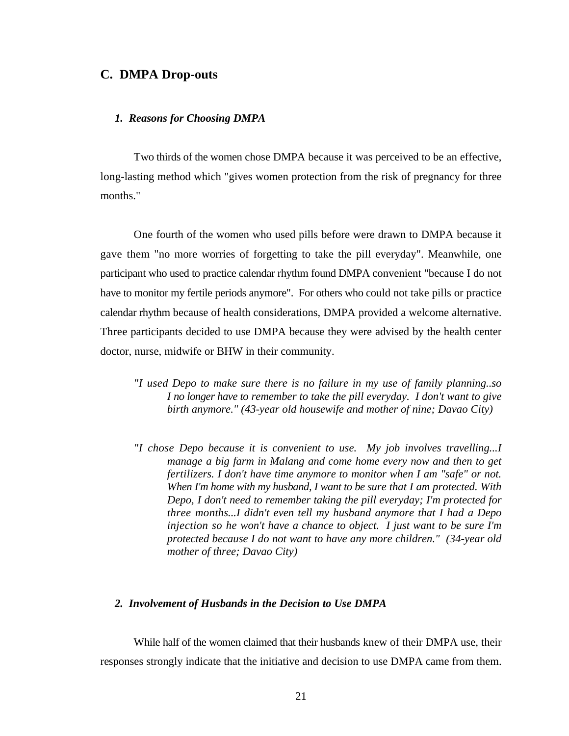#### **C. DMPA Drop-outs**

#### *1. Reasons for Choosing DMPA*

Two thirds of the women chose DMPA because it was perceived to be an effective, long-lasting method which "gives women protection from the risk of pregnancy for three months."

One fourth of the women who used pills before were drawn to DMPA because it gave them "no more worries of forgetting to take the pill everyday". Meanwhile, one participant who used to practice calendar rhythm found DMPA convenient "because I do not have to monitor my fertile periods anymore". For others who could not take pills or practice calendar rhythm because of health considerations, DMPA provided a welcome alternative. Three participants decided to use DMPA because they were advised by the health center doctor, nurse, midwife or BHW in their community.

- *"I used Depo to make sure there is no failure in my use of family planning..so I no longer have to remember to take the pill everyday. I don't want to give birth anymore." (43-year old housewife and mother of nine; Davao City)*
- *"I chose Depo because it is convenient to use. My job involves travelling...I manage a big farm in Malang and come home every now and then to get fertilizers. I don't have time anymore to monitor when I am "safe" or not. When I'm home with my husband, I want to be sure that I am protected. With Depo, I don't need to remember taking the pill everyday; I'm protected for three months...I didn't even tell my husband anymore that I had a Depo injection so he won't have a chance to object. I just want to be sure I'm protected because I do not want to have any more children." (34-year old mother of three; Davao City)*

#### *2. Involvement of Husbands in the Decision to Use DMPA*

While half of the women claimed that their husbands knew of their DMPA use, their responses strongly indicate that the initiative and decision to use DMPA came from them.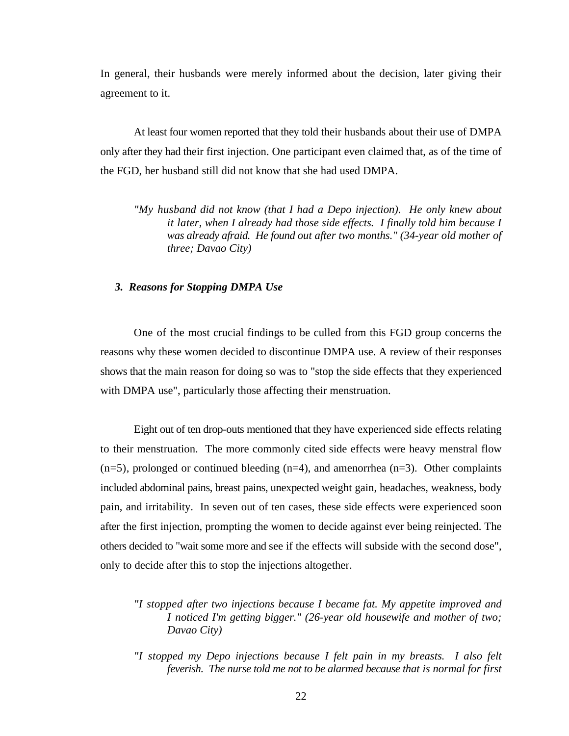In general, their husbands were merely informed about the decision, later giving their agreement to it.

At least four women reported that they told their husbands about their use of DMPA only after they had their first injection. One participant even claimed that, as of the time of the FGD, her husband still did not know that she had used DMPA.

*"My husband did not know (that I had a Depo injection). He only knew about it later, when I already had those side effects. I finally told him because I was already afraid. He found out after two months." (34-year old mother of three; Davao City)*

#### *3. Reasons for Stopping DMPA Use*

One of the most crucial findings to be culled from this FGD group concerns the reasons why these women decided to discontinue DMPA use. A review of their responses shows that the main reason for doing so was to "stop the side effects that they experienced with DMPA use", particularly those affecting their menstruation.

Eight out of ten drop-outs mentioned that they have experienced side effects relating to their menstruation. The more commonly cited side effects were heavy menstral flow  $(n=5)$ , prolonged or continued bleeding  $(n=4)$ , and amenorrhea  $(n=3)$ . Other complaints included abdominal pains, breast pains, unexpected weight gain, headaches, weakness, body pain, and irritability. In seven out of ten cases, these side effects were experienced soon after the first injection, prompting the women to decide against ever being reinjected. The others decided to "wait some more and see if the effects will subside with the second dose", only to decide after this to stop the injections altogether.

- *"I stopped after two injections because I became fat. My appetite improved and I noticed I'm getting bigger." (26-year old housewife and mother of two; Davao City)*
- *"I stopped my Depo injections because I felt pain in my breasts. I also felt feverish. The nurse told me not to be alarmed because that is normal for first*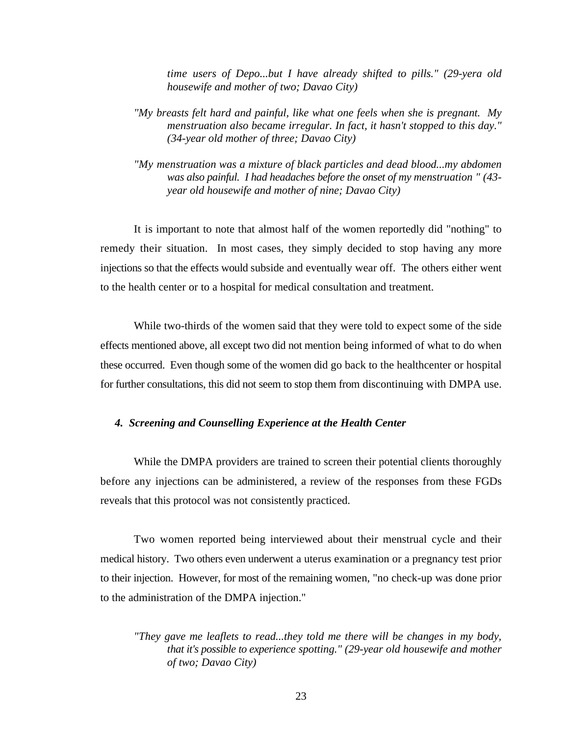*time users of Depo...but I have already shifted to pills." (29-yera old housewife and mother of two; Davao City)* 

- *"My breasts felt hard and painful, like what one feels when she is pregnant. My menstruation also became irregular. In fact, it hasn't stopped to this day." (34-year old mother of three; Davao City)*
- *"My menstruation was a mixture of black particles and dead blood...my abdomen was also painful. I had headaches before the onset of my menstruation " (43 year old housewife and mother of nine; Davao City)*

It is important to note that almost half of the women reportedly did "nothing" to remedy their situation. In most cases, they simply decided to stop having any more injections so that the effects would subside and eventually wear off. The others either went to the health center or to a hospital for medical consultation and treatment.

While two-thirds of the women said that they were told to expect some of the side effects mentioned above, all except two did not mention being informed of what to do when these occurred. Even though some of the women did go back to the healthcenter or hospital for further consultations, this did not seem to stop them from discontinuing with DMPA use.

#### *4. Screening and Counselling Experience at the Health Center*

While the DMPA providers are trained to screen their potential clients thoroughly before any injections can be administered, a review of the responses from these FGDs reveals that this protocol was not consistently practiced.

Two women reported being interviewed about their menstrual cycle and their medical history. Two others even underwent a uterus examination or a pregnancy test prior to their injection. However, for most of the remaining women, "no check-up was done prior to the administration of the DMPA injection."

*<sup>&</sup>quot;They gave me leaflets to read...they told me there will be changes in my body, that it's possible to experience spotting." (29-year old housewife and mother of two; Davao City)*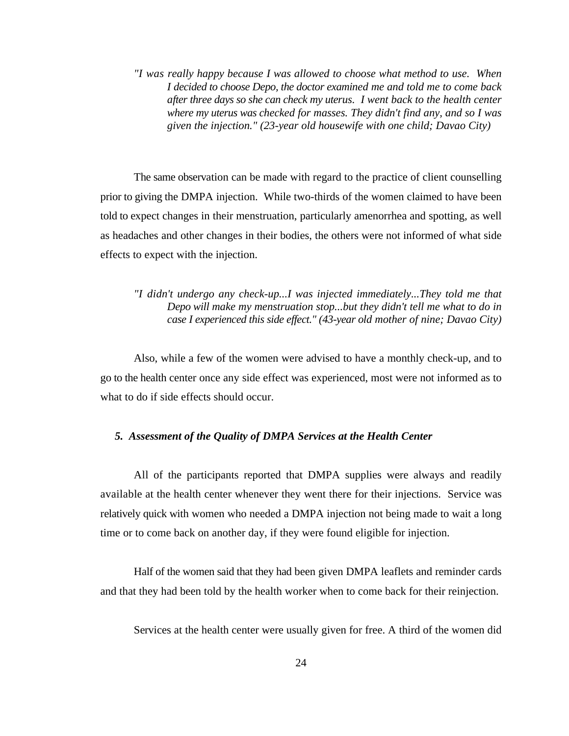*"I was really happy because I was allowed to choose what method to use. When I decided to choose Depo, the doctor examined me and told me to come back after three days so she can check my uterus. I went back to the health center where my uterus was checked for masses. They didn't find any, and so I was given the injection." (23-year old housewife with one child; Davao City)*

The same observation can be made with regard to the practice of client counselling prior to giving the DMPA injection. While two-thirds of the women claimed to have been told to expect changes in their menstruation, particularly amenorrhea and spotting, as well as headaches and other changes in their bodies, the others were not informed of what side effects to expect with the injection.

## *"I didn't undergo any check-up...I was injected immediately...They told me that Depo will make my menstruation stop...but they didn't tell me what to do in case I experienced this side effect." (43-year old mother of nine; Davao City)*

Also, while a few of the women were advised to have a monthly check-up, and to go to the health center once any side effect was experienced, most were not informed as to what to do if side effects should occur.

#### *5. Assessment of the Quality of DMPA Services at the Health Center*

All of the participants reported that DMPA supplies were always and readily available at the health center whenever they went there for their injections. Service was relatively quick with women who needed a DMPA injection not being made to wait a long time or to come back on another day, if they were found eligible for injection.

Half of the women said that they had been given DMPA leaflets and reminder cards and that they had been told by the health worker when to come back for their reinjection.

Services at the health center were usually given for free. A third of the women did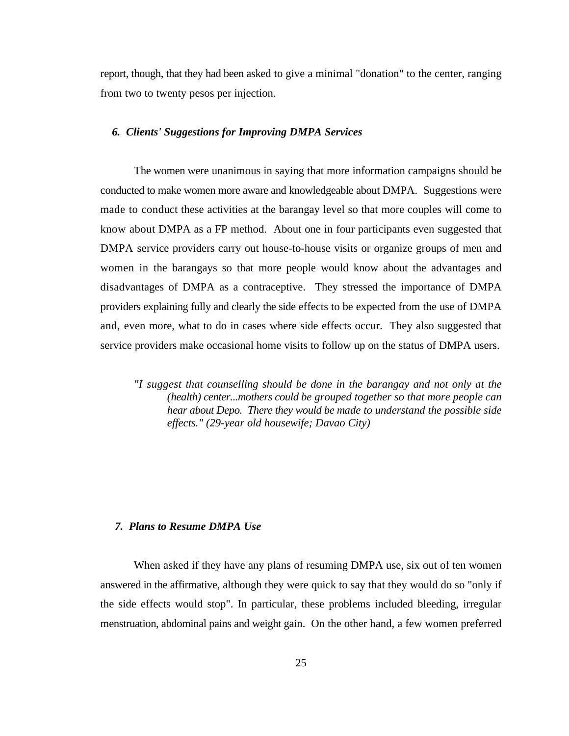report, though, that they had been asked to give a minimal "donation" to the center, ranging from two to twenty pesos per injection.

#### *6. Clients' Suggestions for Improving DMPA Services*

The women were unanimous in saying that more information campaigns should be conducted to make women more aware and knowledgeable about DMPA. Suggestions were made to conduct these activities at the barangay level so that more couples will come to know about DMPA as a FP method. About one in four participants even suggested that DMPA service providers carry out house-to-house visits or organize groups of men and women in the barangays so that more people would know about the advantages and disadvantages of DMPA as a contraceptive. They stressed the importance of DMPA providers explaining fully and clearly the side effects to be expected from the use of DMPA and, even more, what to do in cases where side effects occur. They also suggested that service providers make occasional home visits to follow up on the status of DMPA users.

*"I suggest that counselling should be done in the barangay and not only at the (health) center...mothers could be grouped together so that more people can hear about Depo. There they would be made to understand the possible side effects." (29-year old housewife; Davao City)* 

#### *7. Plans to Resume DMPA Use*

When asked if they have any plans of resuming DMPA use, six out of ten women answered in the affirmative, although they were quick to say that they would do so "only if the side effects would stop". In particular, these problems included bleeding, irregular menstruation, abdominal pains and weight gain. On the other hand, a few women preferred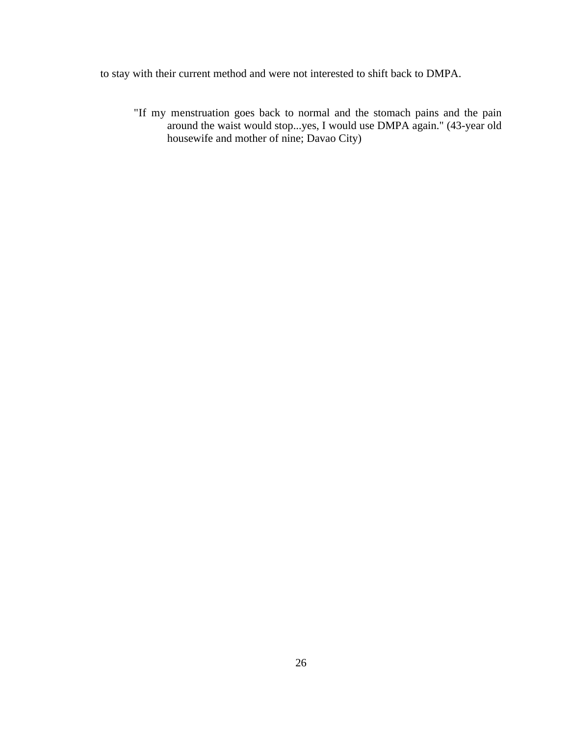to stay with their current method and were not interested to shift back to DMPA.

"If my menstruation goes back to normal and the stomach pains and the pain around the waist would stop...yes, I would use DMPA again." (43-year old housewife and mother of nine; Davao City)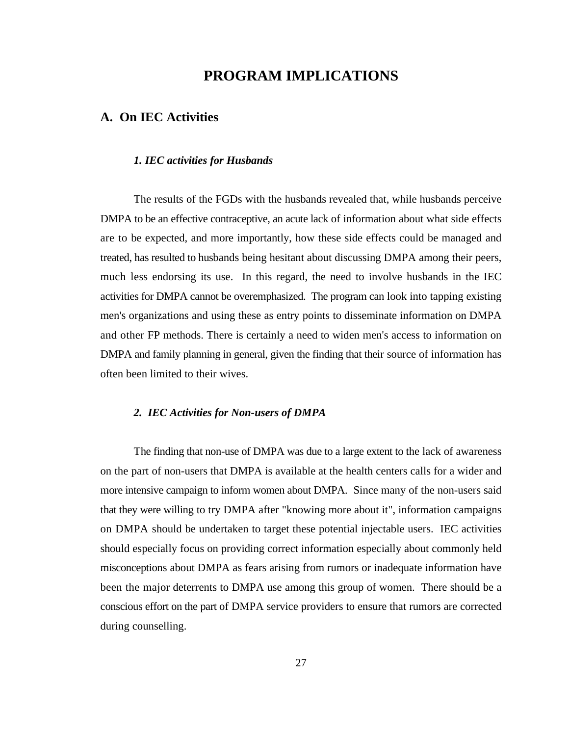## **PROGRAM IMPLICATIONS**

### **A. On IEC Activities**

#### *1. IEC activities for Husbands*

The results of the FGDs with the husbands revealed that, while husbands perceive DMPA to be an effective contraceptive, an acute lack of information about what side effects are to be expected, and more importantly, how these side effects could be managed and treated, has resulted to husbands being hesitant about discussing DMPA among their peers, much less endorsing its use. In this regard, the need to involve husbands in the IEC activities for DMPA cannot be overemphasized. The program can look into tapping existing men's organizations and using these as entry points to disseminate information on DMPA and other FP methods. There is certainly a need to widen men's access to information on DMPA and family planning in general, given the finding that their source of information has often been limited to their wives.

#### *2. IEC Activities for Non-users of DMPA*

The finding that non-use of DMPA was due to a large extent to the lack of awareness on the part of non-users that DMPA is available at the health centers calls for a wider and more intensive campaign to inform women about DMPA. Since many of the non-users said that they were willing to try DMPA after "knowing more about it", information campaigns on DMPA should be undertaken to target these potential injectable users. IEC activities should especially focus on providing correct information especially about commonly held misconceptions about DMPA as fears arising from rumors or inadequate information have been the major deterrents to DMPA use among this group of women. There should be a conscious effort on the part of DMPA service providers to ensure that rumors are corrected during counselling.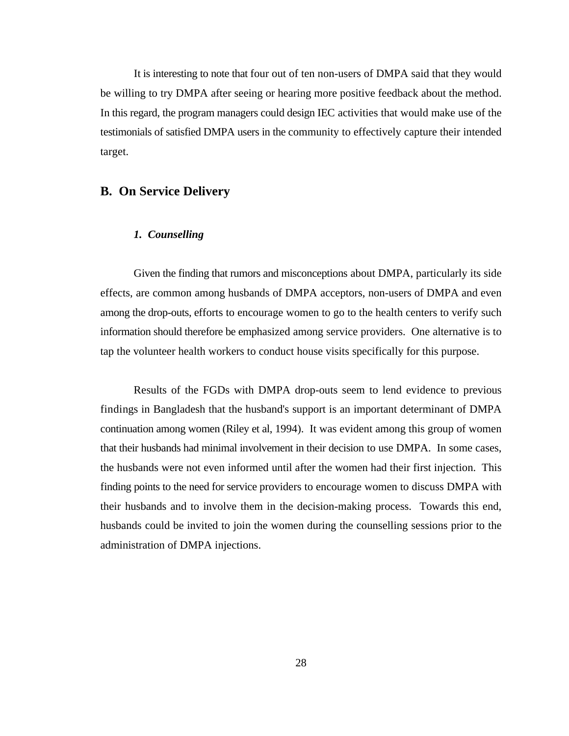It is interesting to note that four out of ten non-users of DMPA said that they would be willing to try DMPA after seeing or hearing more positive feedback about the method. In this regard, the program managers could design IEC activities that would make use of the testimonials of satisfied DMPA users in the community to effectively capture their intended target.

## **B. On Service Delivery**

#### *1. Counselling*

Given the finding that rumors and misconceptions about DMPA, particularly its side effects, are common among husbands of DMPA acceptors, non-users of DMPA and even among the drop-outs, efforts to encourage women to go to the health centers to verify such information should therefore be emphasized among service providers. One alternative is to tap the volunteer health workers to conduct house visits specifically for this purpose.

Results of the FGDs with DMPA drop-outs seem to lend evidence to previous findings in Bangladesh that the husband's support is an important determinant of DMPA continuation among women (Riley et al, 1994). It was evident among this group of women that their husbands had minimal involvement in their decision to use DMPA. In some cases, the husbands were not even informed until after the women had their first injection. This finding points to the need for service providers to encourage women to discuss DMPA with their husbands and to involve them in the decision-making process. Towards this end, husbands could be invited to join the women during the counselling sessions prior to the administration of DMPA injections.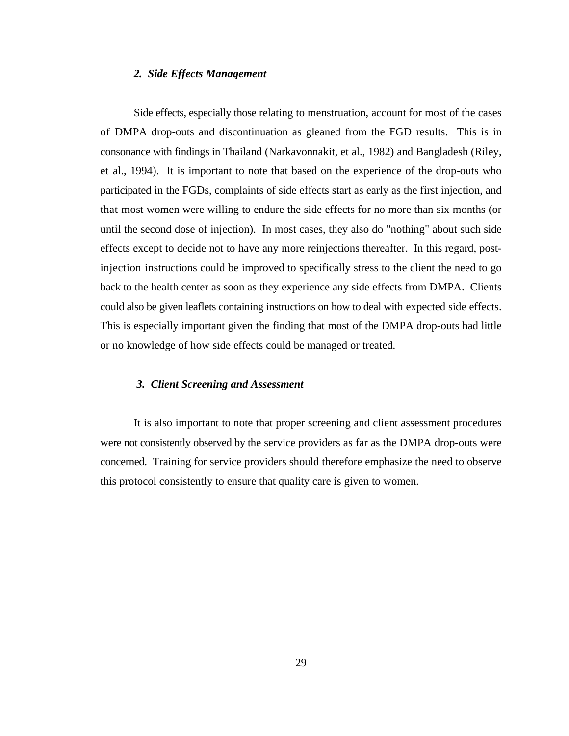#### *2. Side Effects Management*

Side effects, especially those relating to menstruation, account for most of the cases of DMPA drop-outs and discontinuation as gleaned from the FGD results. This is in consonance with findings in Thailand (Narkavonnakit, et al., 1982) and Bangladesh (Riley, et al., 1994). It is important to note that based on the experience of the drop-outs who participated in the FGDs, complaints of side effects start as early as the first injection, and that most women were willing to endure the side effects for no more than six months (or until the second dose of injection). In most cases, they also do "nothing" about such side effects except to decide not to have any more reinjections thereafter. In this regard, postinjection instructions could be improved to specifically stress to the client the need to go back to the health center as soon as they experience any side effects from DMPA. Clients could also be given leaflets containing instructions on how to deal with expected side effects. This is especially important given the finding that most of the DMPA drop-outs had little or no knowledge of how side effects could be managed or treated.

#### *3. Client Screening and Assessment*

It is also important to note that proper screening and client assessment procedures were not consistently observed by the service providers as far as the DMPA drop-outs were concerned. Training for service providers should therefore emphasize the need to observe this protocol consistently to ensure that quality care is given to women.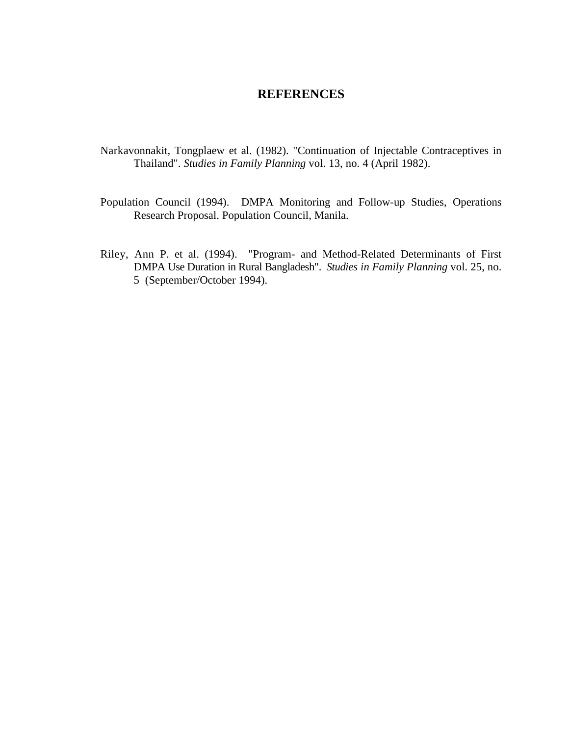## **REFERENCES**

- Narkavonnakit, Tongplaew et al. (1982). "Continuation of Injectable Contraceptives in Thailand". *Studies in Family Planning* vol. 13, no. 4 (April 1982).
- Population Council (1994). DMPA Monitoring and Follow-up Studies, Operations Research Proposal. Population Council, Manila.
- Riley, Ann P. et al. (1994). "Program- and Method-Related Determinants of First DMPA Use Duration in Rural Bangladesh". *Studies in Family Planning* vol. 25, no. 5 (September/October 1994).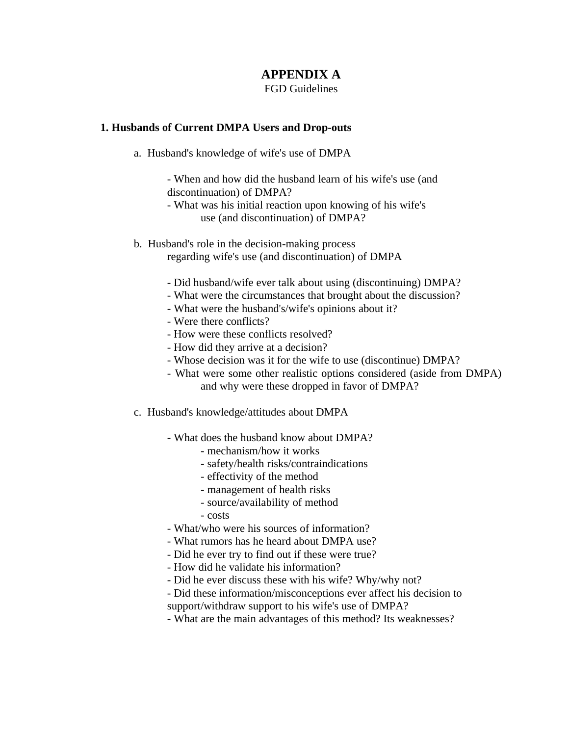## **APPENDIX A**

FGD Guidelines

#### **1. Husbands of Current DMPA Users and Drop-outs**

a. Husband's knowledge of wife's use of DMPA

- When and how did the husband learn of his wife's use (and discontinuation) of DMPA?

- What was his initial reaction upon knowing of his wife's use (and discontinuation) of DMPA?
- b. Husband's role in the decision-making process regarding wife's use (and discontinuation) of DMPA
	- Did husband/wife ever talk about using (discontinuing) DMPA?
	- What were the circumstances that brought about the discussion?
	- What were the husband's/wife's opinions about it?
	- Were there conflicts?
	- How were these conflicts resolved?
	- How did they arrive at a decision?
	- Whose decision was it for the wife to use (discontinue) DMPA?
	- What were some other realistic options considered (aside from DMPA) and why were these dropped in favor of DMPA?
- c. Husband's knowledge/attitudes about DMPA
	- What does the husband know about DMPA?
		- mechanism/how it works
		- safety/health risks/contraindications
		- effectivity of the method
		- management of health risks
		- source/availability of method
		- costs
	- What/who were his sources of information?
	- What rumors has he heard about DMPA use?
	- Did he ever try to find out if these were true?
	- How did he validate his information?
	- Did he ever discuss these with his wife? Why/why not?
	- Did these information/misconceptions ever affect his decision to support/withdraw support to his wife's use of DMPA?
	- What are the main advantages of this method? Its weaknesses?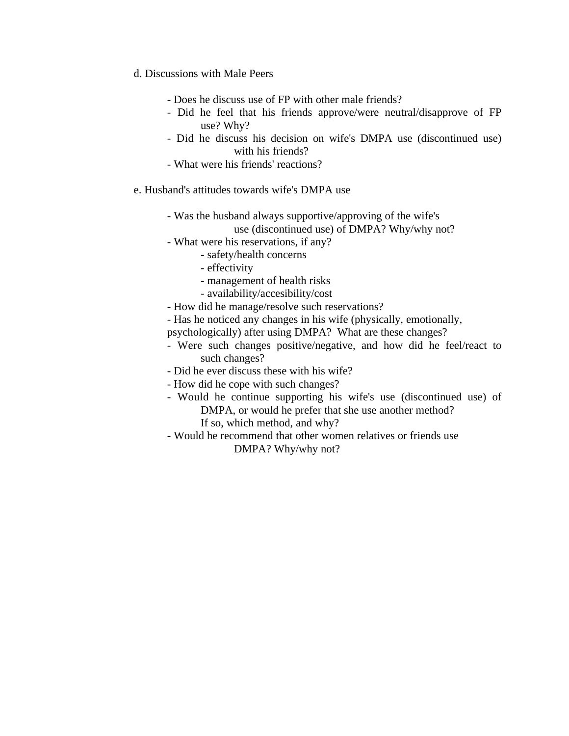- d. Discussions with Male Peers
	- Does he discuss use of FP with other male friends?
	- Did he feel that his friends approve/were neutral/disapprove of FP use? Why?
	- Did he discuss his decision on wife's DMPA use (discontinued use) with his friends?
	- What were his friends' reactions?
- e. Husband's attitudes towards wife's DMPA use
	- Was the husband always supportive/approving of the wife's

use (discontinued use) of DMPA? Why/why not?

- What were his reservations, if any?
	- safety/health concerns
	- effectivity
	- management of health risks
	- availability/accesibility/cost
- How did he manage/resolve such reservations?
- Has he noticed any changes in his wife (physically, emotionally,
- psychologically) after using DMPA? What are these changes?
- Were such changes positive/negative, and how did he feel/react to such changes?
- Did he ever discuss these with his wife?
- How did he cope with such changes?
- Would he continue supporting his wife's use (discontinued use) of DMPA, or would he prefer that she use another method? If so, which method, and why?
- Would he recommend that other women relatives or friends use DMPA? Why/why not?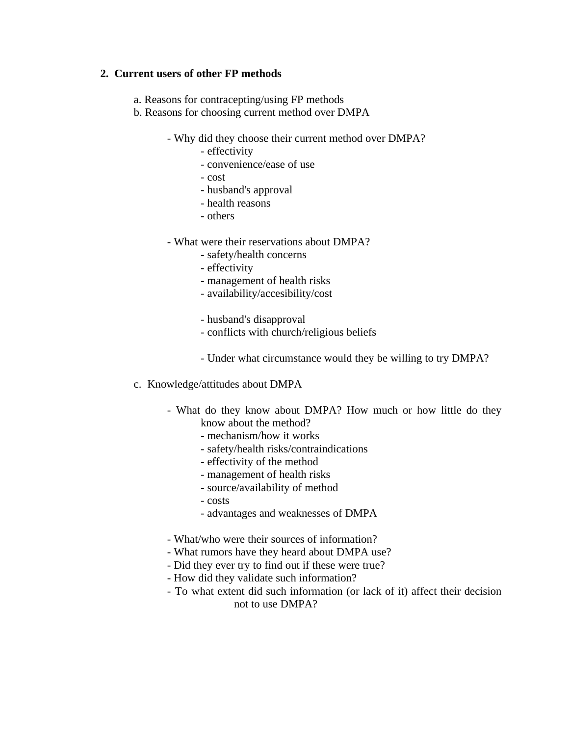### **2. Current users of other FP methods**

- a. Reasons for contracepting/using FP methods
- b. Reasons for choosing current method over DMPA
	- Why did they choose their current method over DMPA?
		- effectivity
		- convenience/ease of use
		- cost
		- husband's approval
		- health reasons
		- others
	- What were their reservations about DMPA?
		- safety/health concerns
		- effectivity
		- management of health risks
		- availability/accesibility/cost
		- husband's disapproval
		- conflicts with church/religious beliefs
		- Under what circumstance would they be willing to try DMPA?
- c. Knowledge/attitudes about DMPA
	- What do they know about DMPA? How much or how little do they know about the method?
		- mechanism/how it works
		- safety/health risks/contraindications
		- effectivity of the method
		- management of health risks
		- source/availability of method
		- costs
		- advantages and weaknesses of DMPA
	- What/who were their sources of information?
	- What rumors have they heard about DMPA use?
	- Did they ever try to find out if these were true?
	- How did they validate such information?
	- To what extent did such information (or lack of it) affect their decision not to use DMPA?